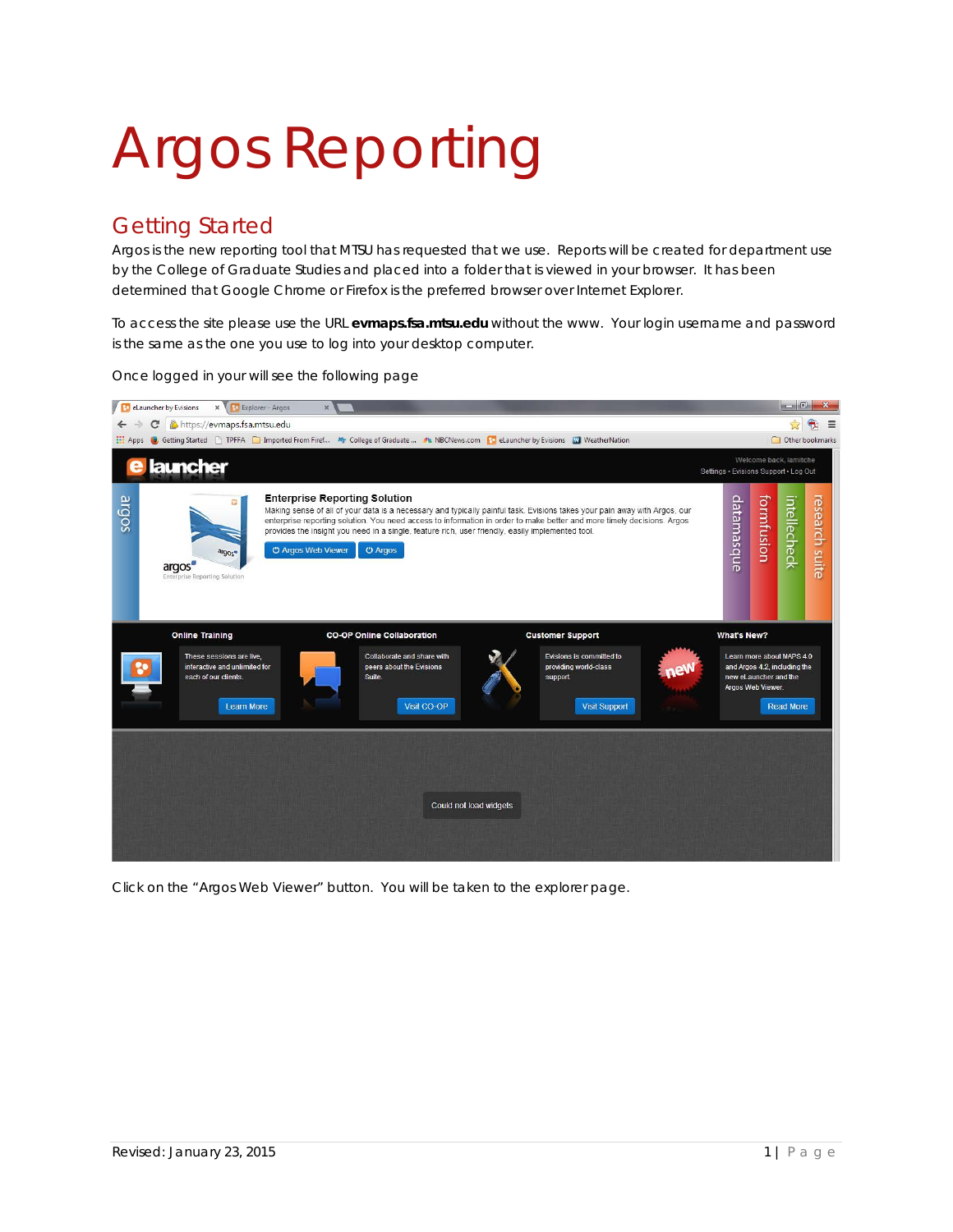## Argos Reporting

## Getting Started

Argos is the new reporting tool that MTSU has requested that we use. Reports will be created for department use by the College of Graduate Studies and placed into a folder that is viewed in your browser. It has been determined that Google Chrome or Firefox is the preferred browser over Internet Explorer.

To access the site please use the URL **evmaps.fsa.mtsu.edu** without the www. Your login username and password is the same as the one you use to log into your desktop computer.



Once logged in your will see the following page

Click on the "Argos Web Viewer" button. You will be taken to the explorer page.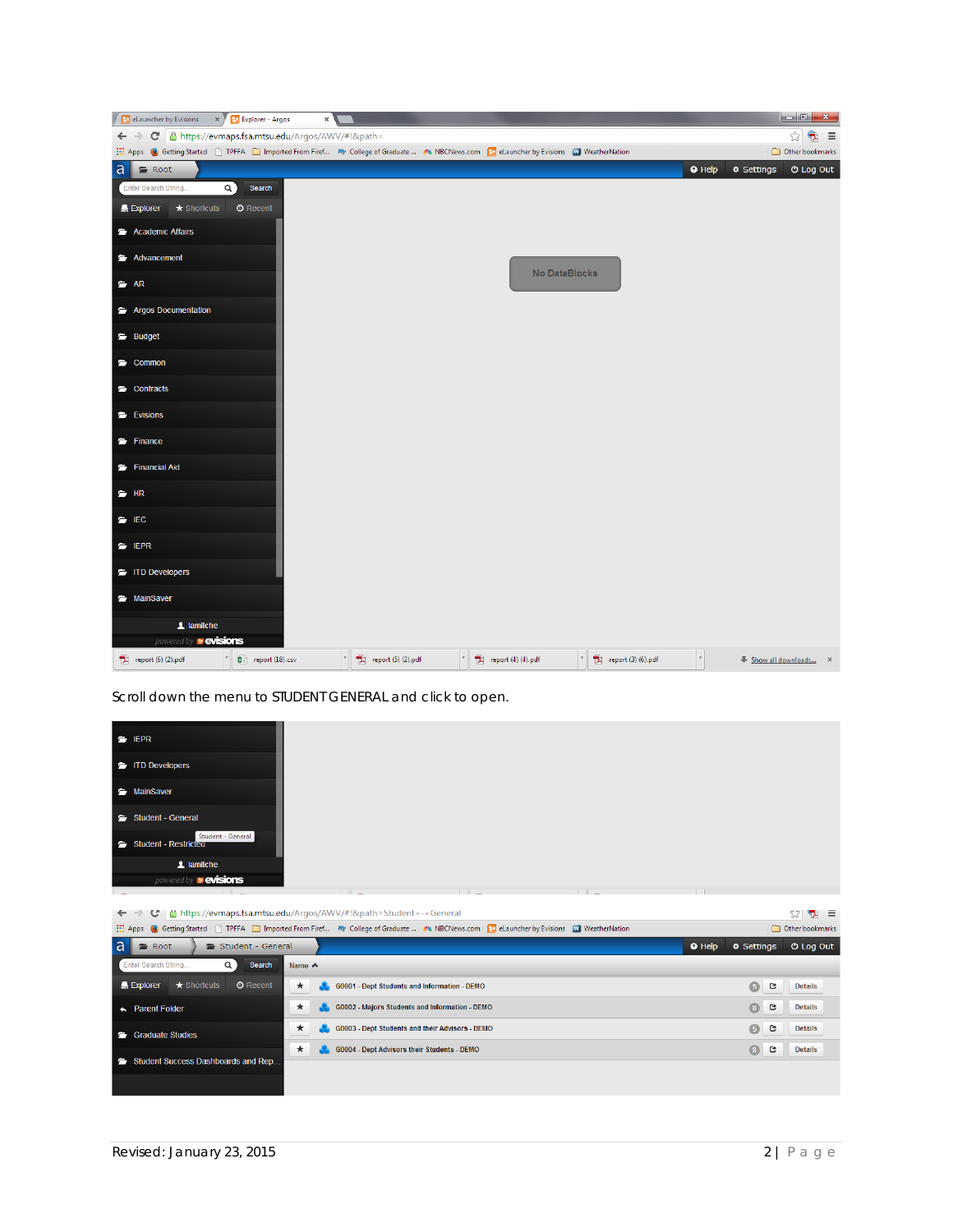|             |                                |                              |                                                      | $\times$ |                   |                                                                                                                                               |                                 |                |                    |                  |
|-------------|--------------------------------|------------------------------|------------------------------------------------------|----------|-------------------|-----------------------------------------------------------------------------------------------------------------------------------------------|---------------------------------|----------------|--------------------|------------------|
|             | $\leftarrow$ $\rightarrow$     |                              | C   a https://evmaps.fsa.mtsu.edu/Argos/AWV/#!&path= |          |                   |                                                                                                                                               |                                 |                |                    | $\oplus$ =<br>☆  |
|             |                                |                              |                                                      |          |                   | Apps (a) Getting Started [3] TPFFA [3] Imported From Firef Mr College of Graduate  JL NBCNews.com [1] eLauncher by Evisions [2] WeatherNation |                                 |                |                    | Other bookmarks  |
| a           | Root                           |                              |                                                      |          |                   |                                                                                                                                               |                                 | $\bullet$ Help | <b>O</b> Settings  | <b>O Log Out</b> |
|             | Enter Search String.           |                              | $\alpha$<br>Search                                   |          |                   |                                                                                                                                               |                                 |                |                    |                  |
|             | $\blacksquare$ Explorer        | $\star$ Shortcuts            | <b>O</b> Recent                                      |          |                   |                                                                                                                                               |                                 |                |                    |                  |
|             | Academic Affairs               |                              |                                                      |          |                   |                                                                                                                                               |                                 |                |                    |                  |
|             | Advancement                    |                              |                                                      |          |                   |                                                                                                                                               |                                 |                |                    |                  |
|             | $\Rightarrow$ AR               |                              |                                                      |          |                   |                                                                                                                                               |                                 |                |                    |                  |
|             |                                | Argos Documentation          |                                                      |          |                   |                                                                                                                                               |                                 |                |                    |                  |
|             | Budget                         |                              |                                                      |          |                   |                                                                                                                                               |                                 |                |                    |                  |
|             | Common                         |                              |                                                      |          |                   |                                                                                                                                               |                                 |                |                    |                  |
|             | Contracts                      |                              |                                                      |          |                   |                                                                                                                                               |                                 |                |                    |                  |
|             | Evisions                       |                              |                                                      |          |                   |                                                                                                                                               |                                 |                |                    |                  |
|             | Finance                        |                              |                                                      |          |                   |                                                                                                                                               |                                 |                |                    |                  |
|             | Financial Aid                  |                              |                                                      |          |                   |                                                                                                                                               |                                 |                |                    |                  |
| $\equiv$ HR |                                |                              |                                                      |          |                   |                                                                                                                                               |                                 |                |                    |                  |
|             | $\blacksquare$ IEC             |                              |                                                      |          |                   |                                                                                                                                               |                                 |                |                    |                  |
|             | $\equiv$ IEPR                  |                              |                                                      |          |                   |                                                                                                                                               |                                 |                |                    |                  |
|             | TD Developers                  |                              |                                                      |          |                   |                                                                                                                                               |                                 |                |                    |                  |
|             | MainSaver                      |                              |                                                      |          |                   |                                                                                                                                               |                                 |                |                    |                  |
|             |                                | 1 lamitche                   |                                                      |          |                   |                                                                                                                                               |                                 |                |                    |                  |
|             |                                | powered by <b>v evisions</b> |                                                      |          |                   |                                                                                                                                               |                                 |                |                    |                  |
|             | $\boxed{2}$ report (6) (2).pdf |                              | $\Box$ report (18).csv                               |          | $r = (5)$ (2).pdf | $\boxed{2}$ report (4) (4).pdf                                                                                                                | $\mathbb{E}$ report (3) (6).pdf | $\tau$         | Show all downloads | $\mathbf{x}$     |

Scroll down the menu to STUDENT GENERAL and click to open.

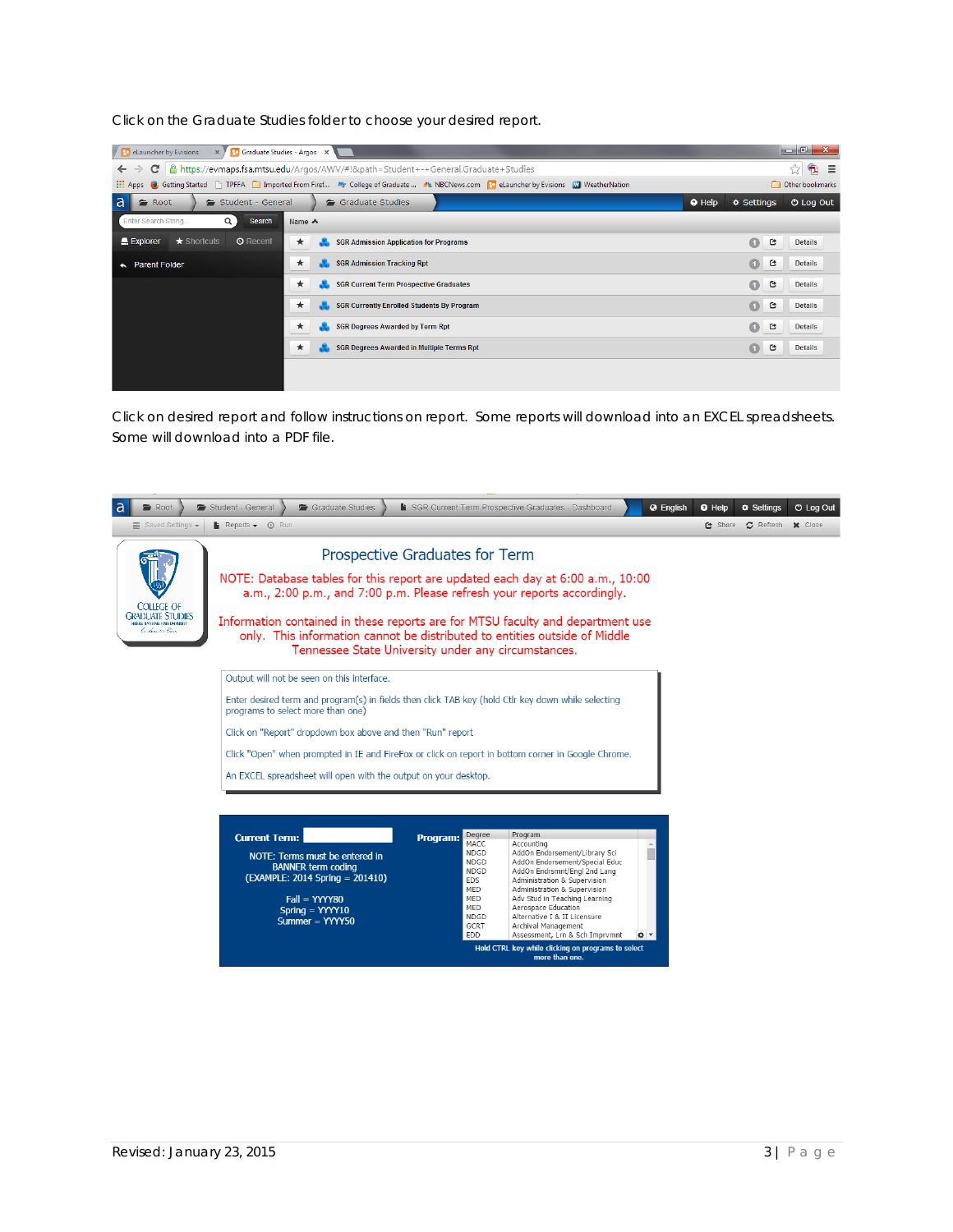Click on the Graduate Studies folder to choose your desired report.

| $-6$<br>$\mathbf{x}$<br><b>1 Bo</b> eLauncher by Evisions<br>$\mathbb{R}$ / <b>Fo</b> Graduate Studies - Argos $\mathbb{R}$                                                     |                                                          |                                  |  |  |  |  |  |  |  |  |  |
|---------------------------------------------------------------------------------------------------------------------------------------------------------------------------------|----------------------------------------------------------|----------------------------------|--|--|--|--|--|--|--|--|--|
| Q.<br>Attps://evmaps.fsa.mtsu.edu/Argos/AWV/#!&path=Student+-+General.Graduate+Studies<br>☆<br>$\equiv$<br>c<br>$\leftarrow$                                                    |                                                          |                                  |  |  |  |  |  |  |  |  |  |
| Go Getting Started   TPFFA   Imported From Firef My College of Graduate  No NBCNews.com   Co eLauncher by Evisions   WeatherNation<br>Other bookmarks<br>$\frac{111}{211}$ Apps |                                                          |                                  |  |  |  |  |  |  |  |  |  |
| a<br>Root<br>Student - General                                                                                                                                                  | <b>O</b> Log Out<br>$\Phi$ Settings                      |                                  |  |  |  |  |  |  |  |  |  |
| $\alpha$<br>Enter Search String<br>Search                                                                                                                                       | Name $\triangle$                                         |                                  |  |  |  |  |  |  |  |  |  |
| $\star$ Shortcuts<br><b>O</b> Recent<br>Explorer                                                                                                                                | $\star$<br><b>SGR Admission Application for Programs</b> | $\bullet$<br>е<br><b>Details</b> |  |  |  |  |  |  |  |  |  |
| <b>Parent Folder</b><br>$\leftarrow$                                                                                                                                            | <b>SGR Admission Tracking Rpt</b><br>*                   | $\bullet$<br>G<br><b>Details</b> |  |  |  |  |  |  |  |  |  |
|                                                                                                                                                                                 | <b>SGR Current Term Prospective Graduates</b><br>★       | $\bullet$<br>G<br><b>Details</b> |  |  |  |  |  |  |  |  |  |
|                                                                                                                                                                                 | <b>SGR Currently Enrolled Students By Program</b><br>*   | $\bullet$<br>G<br><b>Details</b> |  |  |  |  |  |  |  |  |  |
|                                                                                                                                                                                 | <b>SGR Degrees Awarded by Term Rpt</b><br>*              | $\bullet$<br>G<br><b>Details</b> |  |  |  |  |  |  |  |  |  |
|                                                                                                                                                                                 | *<br><b>SGR Degrees Awarded in Multiple Terms Rpt</b>    | $\bullet$<br>G<br><b>Details</b> |  |  |  |  |  |  |  |  |  |
|                                                                                                                                                                                 |                                                          |                                  |  |  |  |  |  |  |  |  |  |
|                                                                                                                                                                                 |                                                          |                                  |  |  |  |  |  |  |  |  |  |

Click on desired report and follow instructions on report. Some reports will download into an EXCEL spreadsheets. Some will download into a PDF file.